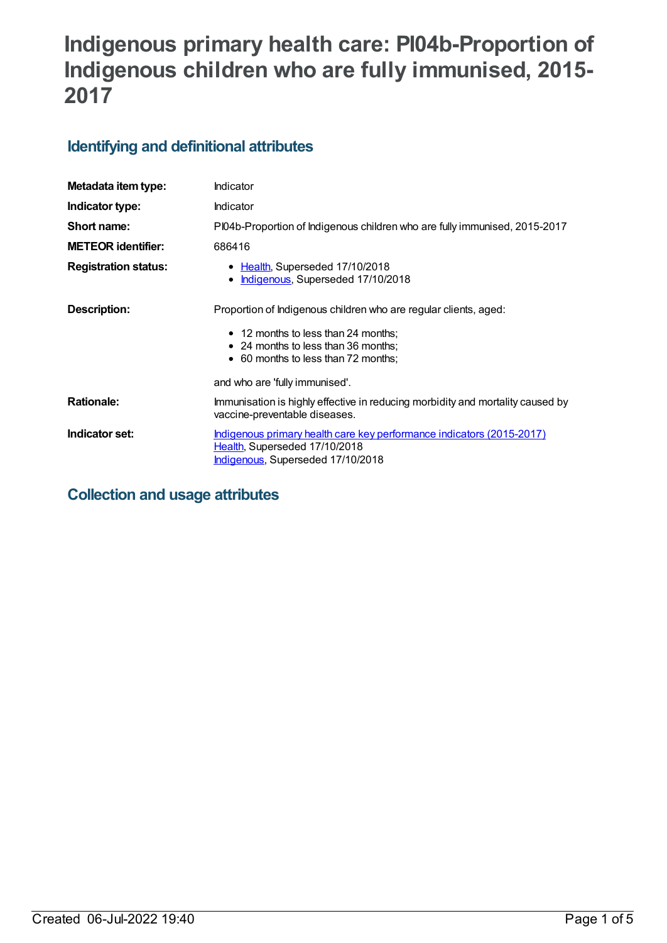# **Indigenous primary health care: PI04b-Proportion of Indigenous children who are fully immunised, 2015- 2017**

## **Identifying and definitional attributes**

| Metadata item type:         | Indicator                                                                                                                                   |
|-----------------------------|---------------------------------------------------------------------------------------------------------------------------------------------|
| Indicator type:             | Indicator                                                                                                                                   |
| Short name:                 | PI04b-Proportion of Indigenous children who are fully immunised, 2015-2017                                                                  |
| <b>METEOR identifier:</b>   | 686416                                                                                                                                      |
| <b>Registration status:</b> | • Health, Superseded 17/10/2018<br>Indigenous, Superseded 17/10/2018<br>$\bullet$                                                           |
| Description:                | Proportion of Indigenous children who are regular clients, aged:                                                                            |
|                             | • 12 months to less than 24 months;<br>• 24 months to less than 36 months;<br>• 60 months to less than 72 months;                           |
|                             | and who are 'fully immunised'.                                                                                                              |
| <b>Rationale:</b>           | Immunisation is highly effective in reducing morbidity and mortality caused by<br>vaccine-preventable diseases.                             |
| Indicator set:              | Indigenous primary health care key performance indicators (2015-2017)<br>Health, Superseded 17/10/2018<br>Indigenous, Superseded 17/10/2018 |

## **Collection and usage attributes**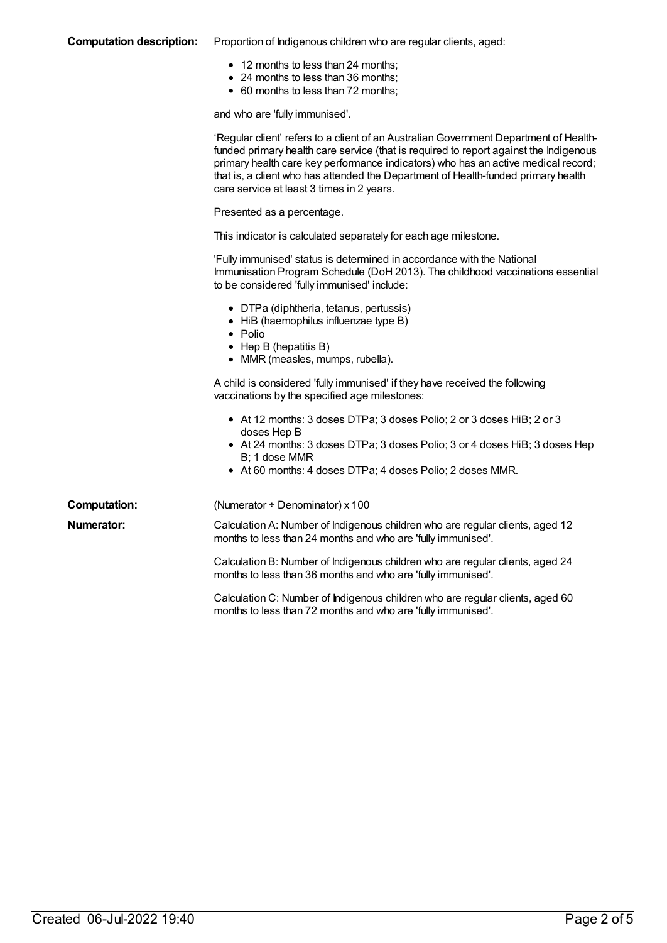#### **Computation description:** Proportion of Indigenous children who are regular clients, aged:

- 12 months to less than 24 months;
- 24 months to less than 36 months;
- 60 months to less than 72 months;

and who are 'fully immunised'.

|                     | 'Regular client' refers to a client of an Australian Government Department of Health-<br>funded primary health care service (that is required to report against the Indigenous<br>primary health care key performance indicators) who has an active medical record;<br>that is, a client who has attended the Department of Health-funded primary health<br>care service at least 3 times in 2 years. |
|---------------------|-------------------------------------------------------------------------------------------------------------------------------------------------------------------------------------------------------------------------------------------------------------------------------------------------------------------------------------------------------------------------------------------------------|
|                     | Presented as a percentage.                                                                                                                                                                                                                                                                                                                                                                            |
|                     | This indicator is calculated separately for each age milestone.                                                                                                                                                                                                                                                                                                                                       |
|                     | 'Fully immunised' status is determined in accordance with the National<br>Immunisation Program Schedule (DoH 2013). The childhood vaccinations essential<br>to be considered 'fully immunised' include:                                                                                                                                                                                               |
|                     | • DTPa (diphtheria, tetanus, pertussis)<br>• HiB (haemophilus influenzae type B)<br>$\bullet$ Polio<br>$\bullet$ Hep B (hepatitis B)<br>• MMR (measles, mumps, rubella).                                                                                                                                                                                                                              |
|                     | A child is considered 'fully immunised' if they have received the following<br>vaccinations by the specified age milestones:                                                                                                                                                                                                                                                                          |
|                     | • At 12 months: 3 doses DTPa; 3 doses Polio; 2 or 3 doses HiB; 2 or 3<br>doses Hep B<br>• At 24 months: 3 doses DTPa; 3 doses Polio; 3 or 4 doses HiB; 3 doses Hep<br>B; 1 dose MMR<br>• At 60 months: 4 doses DTPa; 4 doses Polio; 2 doses MMR.                                                                                                                                                      |
| <b>Computation:</b> | (Numerator ÷ Denominator) x 100                                                                                                                                                                                                                                                                                                                                                                       |
| Numerator:          | Calculation A: Number of Indigenous children who are regular clients, aged 12<br>months to less than 24 months and who are 'fully immunised'.                                                                                                                                                                                                                                                         |
|                     | Calculation B: Number of Indigenous children who are regular clients, aged 24<br>months to less than 36 months and who are 'fully immunised'.                                                                                                                                                                                                                                                         |
|                     | Calculation C: Number of Indigenous children who are regular clients, aged 60<br>months to less than 72 months and who are 'fully immunised'.                                                                                                                                                                                                                                                         |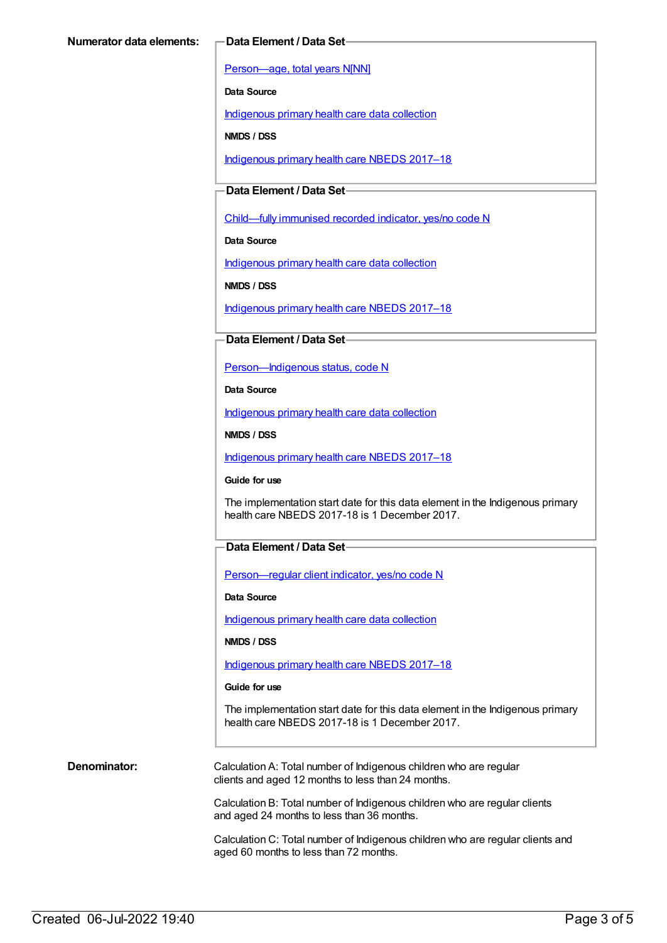[Person—age,](https://meteor.aihw.gov.au/content/303794) total years N[NN]

**Data Source**

[Indigenous](https://meteor.aihw.gov.au/content/430643) primary health care data collection

**NMDS / DSS**

[Indigenous](https://meteor.aihw.gov.au/content/686603) primary health care NBEDS 2017–18

#### **Data Element / Data Set**

[Child—fully](https://meteor.aihw.gov.au/content/457664) immunised recorded indicator, yes/no code N

**Data Source**

[Indigenous](https://meteor.aihw.gov.au/content/430643) primary health care data collection

**NMDS / DSS**

[Indigenous](https://meteor.aihw.gov.au/content/686603) primary health care NBEDS 2017–18

#### **Data Element / Data Set**

[Person—Indigenous](https://meteor.aihw.gov.au/content/602543) status, code N

**Data Source**

[Indigenous](https://meteor.aihw.gov.au/content/430643) primary health care data collection

**NMDS / DSS**

[Indigenous](https://meteor.aihw.gov.au/content/686603) primary health care NBEDS 2017–18

**Guide for use**

The implementation start date for this data element in the Indigenous primary health care NBEDS 2017-18 is 1 December 2017.

#### **Data Element / Data Set**

[Person—regular](https://meteor.aihw.gov.au/content/686291) client indicator, yes/no code N

**Data Source**

[Indigenous](https://meteor.aihw.gov.au/content/430643) primary health care data collection

**NMDS / DSS**

[Indigenous](https://meteor.aihw.gov.au/content/686603) primary health care NBEDS 2017–18

**Guide for use**

The implementation start date for this data element in the Indigenous primary health care NBEDS 2017-18 is 1 December 2017.

**Denominator:** Calculation A: Total number of Indigenous children who are regular clients and aged 12 months to less than 24 months.

> Calculation B: Total number of Indigenous children who are regular clients and aged 24 months to less than 36 months.

Calculation C: Total number of Indigenous children who are regular clients and aged 60 months to less than 72 months.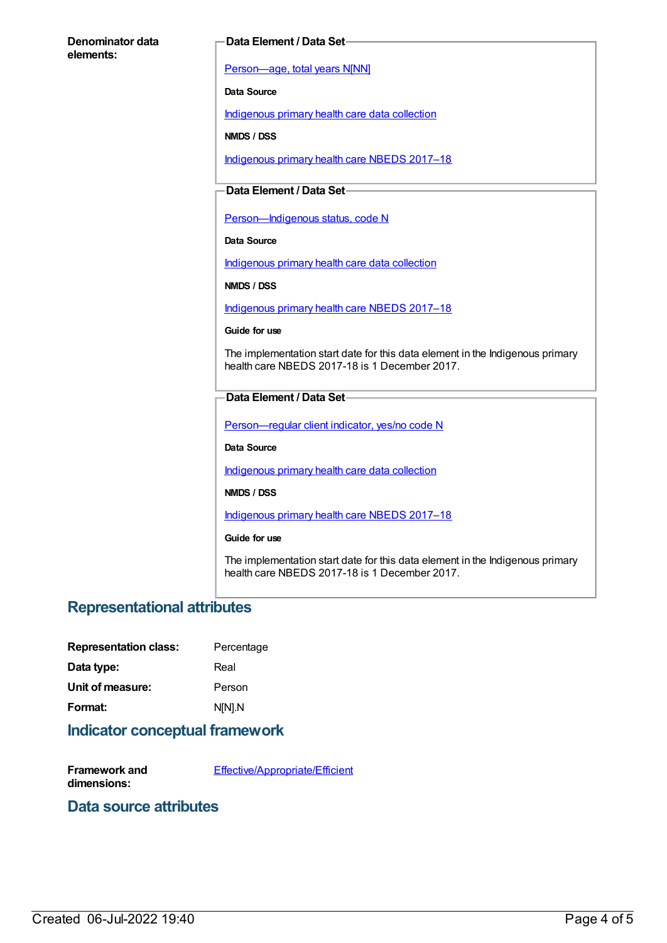#### **Denominator data elements:**

#### **Data Element / Data Set**

[Person—age,](https://meteor.aihw.gov.au/content/303794) total years N[NN]

**Data Source**

[Indigenous](https://meteor.aihw.gov.au/content/430643) primary health care data collection

**NMDS / DSS**

[Indigenous](https://meteor.aihw.gov.au/content/686603) primary health care NBEDS 2017–18

### **Data Element / Data Set**

Person-Indigenous status, code N

**Data Source**

[Indigenous](https://meteor.aihw.gov.au/content/430643) primary health care data collection

**NMDS / DSS**

[Indigenous](https://meteor.aihw.gov.au/content/686603) primary health care NBEDS 2017–18

**Guide for use**

The implementation start date for this data element in the Indigenous primary health care NBEDS 2017-18 is 1 December 2017.

#### **Data Element / Data Set**

Person-regular client indicator, yes/no code N

**Data Source**

[Indigenous](https://meteor.aihw.gov.au/content/430643) primary health care data collection

**NMDS / DSS**

[Indigenous](https://meteor.aihw.gov.au/content/686603) primary health care NBEDS 2017–18

#### **Guide for use**

The implementation start date for this data element in the Indigenous primary health care NBEDS 2017-18 is 1 December 2017.

## **Representational attributes**

| <b>Representation class:</b> | Percentage |
|------------------------------|------------|
| Data type:                   | Real       |
| Unit of measure:             | Person     |
| Format:                      | N[N].N     |

### **Indicator conceptual framework**

**Framework and dimensions:** [Effective/Appropriate/Efficient](https://meteor.aihw.gov.au/content/410681)

### **Data source attributes**